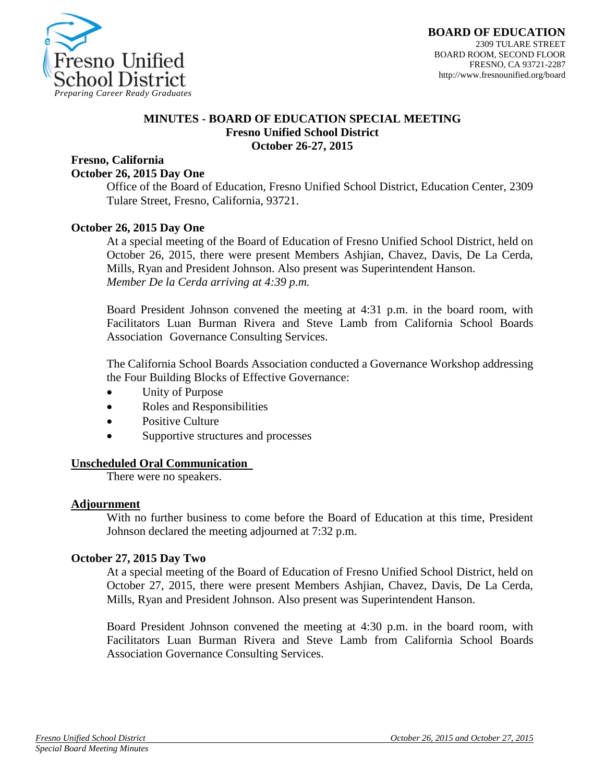

## **MINUTES - BOARD OF EDUCATION SPECIAL MEETING Fresno Unified School District October 26-27, 2015**

# **Fresno, California**

### **October 26, 2015 Day One**

Office of the Board of Education, Fresno Unified School District, Education Center, 2309 Tulare Street, Fresno, California, 93721.

## **October 26, 2015 Day One**

At a special meeting of the Board of Education of Fresno Unified School District, held on October 26, 2015, there were present Members Ashjian, Chavez, Davis, De La Cerda, Mills, Ryan and President Johnson. Also present was Superintendent Hanson. *Member De la Cerda arriving at 4:39 p.m.*

Board President Johnson convened the meeting at 4:31 p.m. in the board room, with Facilitators Luan Burman Rivera and Steve Lamb from California School Boards Association Governance Consulting Services.

The California School Boards Association conducted a Governance Workshop addressing the Four Building Blocks of Effective Governance:

- Unity of Purpose
- Roles and Responsibilities
- Positive Culture
- Supportive structures and processes

#### **Unscheduled Oral Communication**

There were no speakers.

#### **Adjournment**

With no further business to come before the Board of Education at this time, President Johnson declared the meeting adjourned at 7:32 p.m.

#### **October 27, 2015 Day Two**

At a special meeting of the Board of Education of Fresno Unified School District, held on October 27, 2015, there were present Members Ashjian, Chavez, Davis, De La Cerda, Mills, Ryan and President Johnson. Also present was Superintendent Hanson.

Board President Johnson convened the meeting at 4:30 p.m. in the board room, with Facilitators Luan Burman Rivera and Steve Lamb from California School Boards Association Governance Consulting Services.